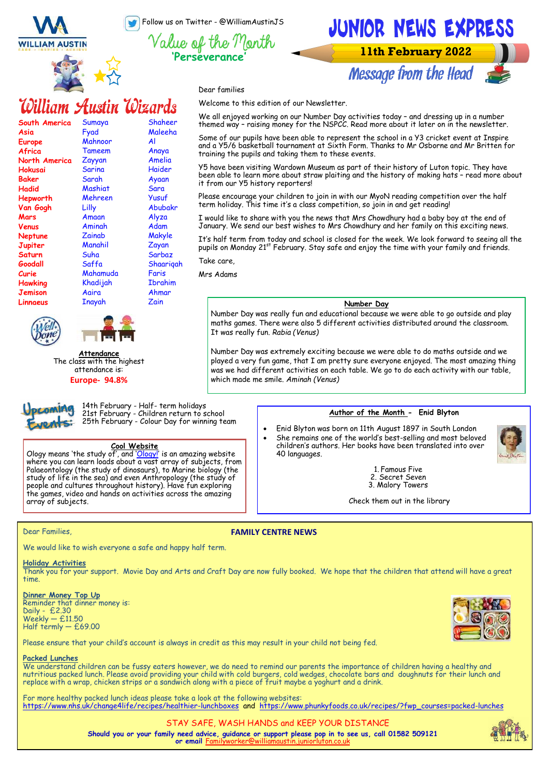Follow us on Twitter - @WilliamAustinJS

**'Perseverance'**

Value of the Month

Dear families

Welcome to this edition of our Newsletter.



### William Austin Wizards

| South America | Sumaya   | Shaheer        |
|---------------|----------|----------------|
| Asia          | Fyad     | Maleeha        |
| Europe        | Mahnoor  | Al             |
| Africa        | Tameem   | Anaya          |
| North America | Zayyan   | Amelia         |
| Hokusai       | Sarina   | Haider         |
| Baker         | Sarah    | Ayaan          |
| Hadid         | Mashiat  | Sara           |
| Hepworth      | Mehreen  | Yusuf          |
| Van Gogh      | Lilly    | Abubakr        |
| Mars          | Amaan    | Alyza          |
| Venus         | Aminah   | Adam           |
| Neptune       | Zainab   | Makyle         |
| Jupiter       | Manahil  | Zayan          |
| Saturn        | Suha     | Sarbaz         |
| Goodall       | Saffa    | Shaariqah      |
| Curie         | Mahamuda | Faris          |
| Hawking       | Khadijah | <b>Ibrahim</b> |
| Jemison       | Aaira    | Ahmar          |
| Linnaeus      | Inayah   | Zain           |
|               |          |                |



pcoming



**Attendance** The class with the highest attendance is:

**Europe- 94.8%**

14th February - Half- term holidays 21st February - Children return to school 25th February - Colour Day for winning team

#### **Cool Website**

Ology means 'the study of', and '<mark>[Ology!](https://www.amnh.org/explore/ology)</mark>' is an amazing website where you can learn loads about a vast array of subjects, from Palaeontology (the study of dinosaurs), to Marine biology (the study of life in the sea) and even Anthropology (the study of people and cultures throughout history). Have fun exploring the games, video and hands on activities across the amazing array of subjects.

#### Dear Families,

#### **FAMILY CENTRE NEWS**

We would like to wish everyone a safe and happy half term.

#### **Holiday Activities**

Thank you for your support. Movie Day and Arts and Craft Day are now fully booked. We hope that the children that attend will have a great time.

**Dinner Money Top Up** Reminder that dinner money is: Daily - £2.30 Weekly — £11.50 Half termly — £69.00

Please ensure that your child's account is always in credit as this may result in your child not being fed.

#### **Packed Lunches**

We understand children can be fussy eaters however, we do need to remind our parents the importance of children having a healthy and nutritious packed lunch. Please avoid providing your child with cold burgers, cold wedges, chocolate bars and doughnuts for their lunch and replace with a wrap, chicken strips or a sandwich along with a piece of fruit maybe a yoghurt and a drink.

For more healthy packed lunch ideas please take a look at the following websites: [https://www.nhs.uk/change4life/recipes/healthier](https://www.nhs.uk/healthier-families/recipes/healthier-lunchboxes/)-lunchboxes and [https://www.phunkyfoods.co.uk/recipes/?fwp\\_courses=packed](https://www.phunkyfoods.co.uk/recipes/?fwp_courses=packed-lunches)-lunches

> **Should you or your family need advice, guidance or support please pop in to see us, call 01582 509121 or email** Fo STAY SAFE, WASH HANDS and KEEP YOUR DISTANCE

### **Author of the Month - Enid Blyton**

1. Famous Five 2. Secret Seven 3. Malory Towers Check them out in the library

• Enid Blyton was born on 11th August 1897 in South London • She remains one of the world's best-selling and most beloved children's authors. Her books have been translated into over 40 languages.



#### We all enjoyed working on our Number Day activities today – and dressing up in a number themed way – raising money for the NSPCC. Read more about it later on in the newsletter.

Some of our pupils have been able to represent the school in a Y3 cricket event at Inspire and a Y5/6 basketball tournament at Sixth Form. Thanks to Mr Osborne and Mr Britten for training the pupils and taking them to these events.

Y5 have been visiting Wardown Museum as part of their history of Luton topic. They have been able to learn more about straw plaiting and the history of making hats – read more about it from our Y5 history reporters!

Please encourage your children to join in with our MyoN reading competition over the half term holiday. This time it's a class competition, so join in and get reading!

I would like to share with you the news that Mrs Chowdhury had a baby boy at the end of January. We send our best wishes to Mrs Chowdhury and her family on this exciting news.

It's half term from today and school is closed for the week. We look forward to seeing all the pupils on Monday 21st February. Stay safe and enjoy the time with your family and friends. Take care,

Mrs Adams

#### **Number Day**

Number Day was really fun and educational because we were able to go outside and play maths games. There were also 5 different activities distributed around the classroom. It was really fun. *Rabia (Venus)*

Number Day was extremely exciting because we were able to do maths outside and we played a very fun game, that I am pretty sure everyone enjoyed. The most amazing thing was we had different activities on each table. We go to do each activity with our table, which made me smile. *Aminah (Venus)*







JUNIOR NEWS EXPRESS

**11th February 2022** 

**Message from the Head**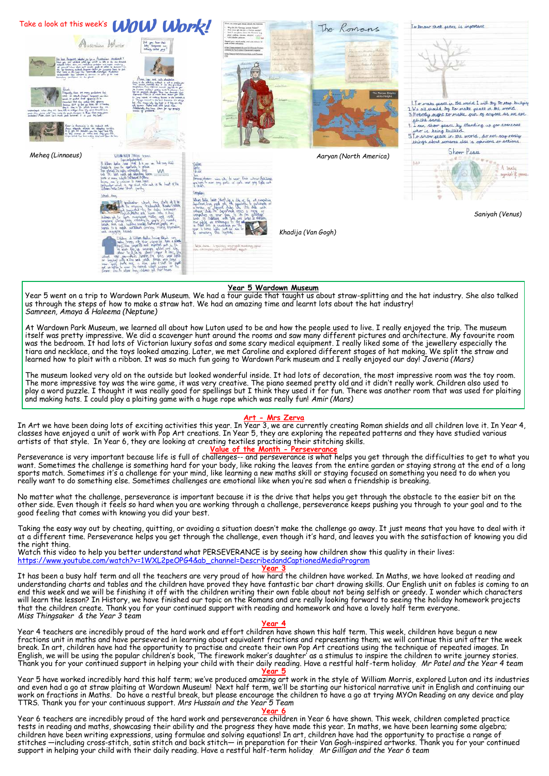

#### **Year 5 Wardown Museum**

Year 5 went on a trip to Wardown Park Museum. We had a tour guide that taught us about straw-splitting and the hat industry. She also talked us through the steps of how to make a straw hat. We had an amazing time and learnt lots about the hat industry! *Samreen, Amaya & Haleema (Neptune)*

At Wardown Park Museum, we learned all about how Luton used to be and how the people used to live. I really enjoyed the trip. The museum itself was pretty impressive. We did a scavenger hunt around the rooms and saw many different pictures and architecture. My favourite room was the bedroom. It had lots of Victorian luxury sofas and some scary medical equipment. I really liked some of the jewellery especially the tiara and necklace, and the toys looked amazing. Later, we met Caroline and explored different stages of hat making. We split the straw and learned how to plait with a ribbon. It was so much fun going to Wardown Park museum and I really enjoyed our day! *Javeria (Mars)*

The museum looked very old on the outside but looked wonderful inside. It had lots of decoration, the most impressive room was the toy room. The more impressive toy was the wire game, it was very creative. The piano seemed pretty old and it didn't really work. Children also used to play a word puzzle. I thought it was really good for spellings but I think they used it for fun. There was another room that was used for plaiting and making hats. I could play a plaiting game with a huge rope which was really fun! *Amir (Mars)*

#### **Art - Mrs Zerva**

In Art we have been doing lots of exciting activities this year. In Year 3, we are currently creating Roman shields and all children love it. In Year 4, classes have enjoyed a unit of work with Pop Art creations. In Year 5, they are exploring the repeated patterns and they have studied various artists of that style. In Year 6, they are looking at creating textiles practising their stitching skills.<br>Value of the Month - Perseverance

#### **Value of the**

Perseverance is very important because life is full of challenges-- and perseverance is what helps you get through the difficulties to get to what you want. Sometimes the challenge is something hard for your body, like raking the leaves from the entire garden or staying strong at the end of a long sports match. Sometimes it's a challenge for your mind, like learning a new maths skill or staying focused on something you need to do when you really want to do something else. Sometimes challenges are emotional like when you're sad when a friendship is breaking.

No matter what the challenge, perseverance is important because it is the drive that helps you get through the obstacle to the easier bit on the other side. Even though it feels so hard when you are working through a challenge, perseverance keeps pushing you through to your goal and to the good feeling that comes with knowing you did your best.

Taking the easy way out by cheating, quitting, or avoiding a situation doesn't make the challenge go away. It just means that you have to deal with it at a different time. Perseverance helps you get through the challenge, even though it's hard, and leaves you with the satisfaction of knowing you did the right thing.

Watch this video to help you better understand what PERSEVERANCE is by seeing how children show this quality in their lives: [https://www.youtube.com/watch?v=1WXL2peOPG4&ab\\_channel=DescribedandCaptionedMediaProgram](https://www.youtube.com/watch?v=1WXL2peOPG4&ab_channel=DescribedandCaptionedMediaProgram)

#### **Year 3**

It has been a busy half term and all the teachers are very proud of how hard the children have worked. In Maths, we have looked at reading and understanding charts and tables and the children have proved they have fantastic bar chart drawing skills. Our English unit on fables is coming to an end this week and we will be finishing it off with the children writing their own fable about not being selfish or greedy. I wonder which characters will learn the lesson? In History, we have finished our topic on the Romans and are really looking forward to seeing the holiday homework projects that the children create. Thank you for your continued support with reading and homework and have a lovely half term everyone. *Miss Thingsaker & the Year 3 team*

#### **Year 4**

Year 4 teachers are incredibly proud of the hard work and effort children have shown this half term. This week, children have begun a new fractions unit in maths and have persevered in learning about equivalent fractions and representing them; we will continue this unit after the week break. In art, children have had the opportunity to practise and create their own Pop Art creations using the technique of repeated images. In English, we will be using the popular children's book, 'The firework maker's daughter' as a stimulus to inspire the children to write journey stories. Thank you for your continued support in helping your child with their daily reading. Have a restful half-term holiday. *Mr Patel and the Year 4 team*

**Year 5**

Year 5 have worked incredibly hard this half term; we've produced amazing art work in the style of William Morris, explored Luton and its industries and even had a go at straw plaiting at Wardown Museum! Next half term, we'll be starting our historical narrative unit in English and continuing our work on fractions in Maths. Do have a restful break, but please encourage the children to have a go at trying MYOn Reading on any device and play TTRS. Thank you for your continuous support. *Mrs Hussain and the Year 5 Team*

#### **Year 6**

Year 6 teachers are incredibly proud of the hard work and perseverance children in Year 6 have shown. This week, children completed practice tests in reading and maths, showcasing their ability and the progress they have made this year. In maths, we have been learning some algebra; children have been writing expressions, using formulae and solving equations! In art, children have had the opportunity to practise a range of<br>stitches —including cross-stitch, satin stitch and back stitch— in preparation support in helping your child with their daily reading. Have a restful half-term holiday. *Mr Gilligan and the Year 6 team*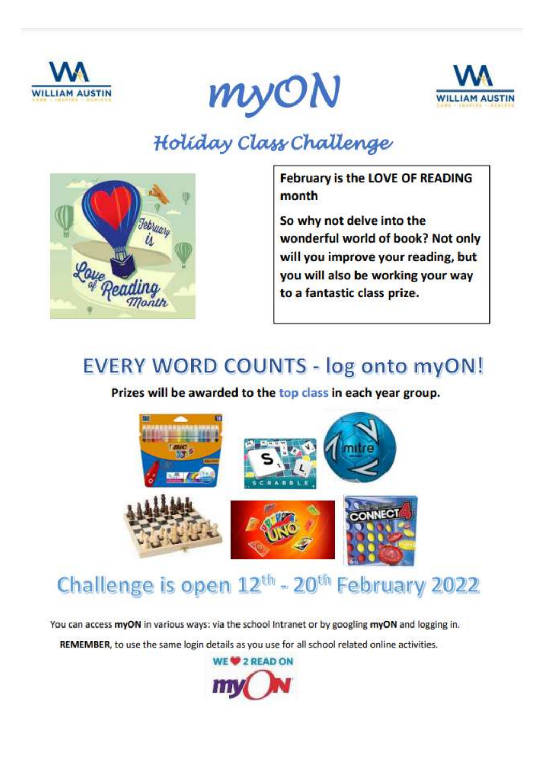





### Holiday Class Challenge



**February is the LOVE OF READING** month

So why not delve into the wonderful world of book? Not only will you improve your reading, but you will also be working your way to a fantastic class prize.

### **EVERY WORD COUNTS - log onto myON!**

Prizes will be awarded to the top class in each year group.



### Challenge is open 12<sup>th</sup> - 20<sup>th</sup> February 2022

You can access myON in various ways: via the school Intranet or by googling myON and logging in.

REMEMBER, to use the same login details as you use for all school related online activities.